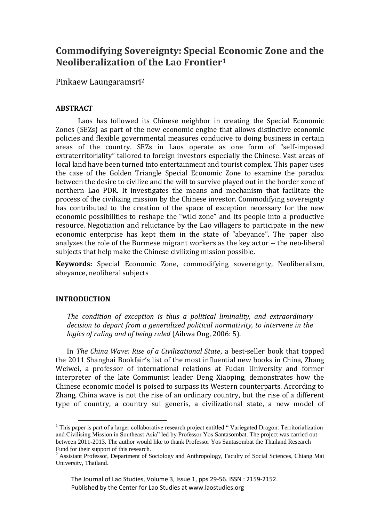# **Commodifying Sovereignty: Special Economic Zone and the Neoliberalization of the Lao Frontier<sup>1</sup>**

Pinkaew Laungaramsri<sup>2</sup>

# **ABSTRACT**

Laos has followed its Chinese neighbor in creating the Special Economic Zones (SEZs) as part of the new economic engine that allows distinctive economic policies and flexible governmental measures conducive to doing business in certain areas of the country. SEZs in Laos operate as one form of "self-imposed extraterritoriality" tailored to foreign investors especially the Chinese. Vast areas of local land have been turned into entertainment and tourist complex. This paper uses the case of the Golden Triangle Special Economic Zone to examine the paradox between the desire to civilize and the will to survive played out in the border zone of northern Lao PDR. It investigates the means and mechanism that facilitate the process of the civilizing mission by the Chinese investor. Commodifying sovereignty has contributed to the creation of the space of exception necessary for the new economic possibilities to reshape the "wild zone" and its people into a productive resource. Negotiation and reluctance by the Lao villagers to participate in the new economic enterprise has kept them in the state of "abeyance". The paper also analyzes the role of the Burmese migrant workers as the key actor -- the neo-liberal subjects that help make the Chinese civilizing mission possible.

**Keywords:** Special Economic Zone, commodifying sovereignty, Neoliberalism, abeyance, neoliberal subjects

## **INTRODUCTION**

 $\overline{a}$ 

*The condition of exception is thus a political liminality, and extraordinary decision to depart from a generalized political normativity, to intervene in the logics of ruling and of being ruled* (Aihwa Ong, 2006: 5).

In *The China Wave: Rise of a Civilizational State*, a best-seller book that topped the 2011 Shanghai Bookfair's list of the most influential new books in China, Zhang Weiwei, a professor of international relations at Fudan University and former interpreter of the late Communist leader Deng Xiaoping, demonstrates how the Chinese economic model is poised to surpass its Western counterparts. According to Zhang, China wave is not the rise of an ordinary country, but the rise of a different type of country, a country sui generis, a civilizational state, a new model of

<sup>&</sup>lt;sup>1</sup> This paper is part of a larger collaborative research project entitled "Variegated Dragon: Territorialization and Civilising Mission in Southeast Asia" led by Professor Yos Santasombat. The project was carried out between 2011-2013. The author would like to thank Professor Yos Santasombat the Thailand Research Fund for their support of this research.

<sup>&</sup>lt;sup>2</sup> Assistant Professor, Department of Sociology and Anthropology, Faculty of Social Sciences, Chiang Mai University, Thailand.

The Journal of Lao Studies, Volume 3, Issue 1, pps 29-56. ISSN : 2159-2152. Published by the Center for Lao Studies at www.laostudies.org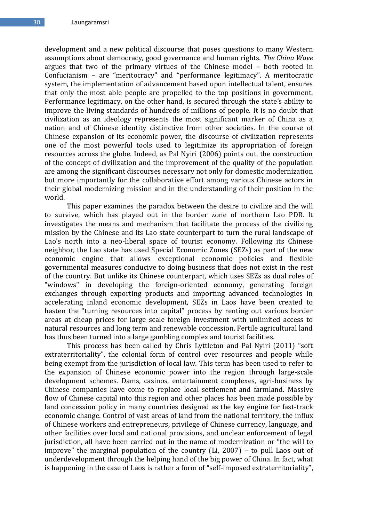development and a new political discourse that poses questions to many Western assumptions about democracy, good governance and human rights. *The China Wave*  argues that two of the primary virtues of the Chinese model – both rooted in Confucianism – are "meritocracy" and "performance legitimacy". A meritocratic system, the implementation of advancement based upon intellectual talent, ensures that only the most able people are propelled to the top positions in government. Performance legitimacy, on the other hand, is secured through the state's ability to improve the living standards of hundreds of millions of people. It is no doubt that civilization as an ideology represents the most significant marker of China as a nation and of Chinese identity distinctive from other societies. In the course of Chinese expansion of its economic power, the discourse of civilization represents one of the most powerful tools used to legitimize its appropriation of foreign resources across the globe. Indeed, as Pal Nyiri (2006) points out, the construction of the concept of civilization and the improvement of the quality of the population are among the significant discourses necessary not only for domestic modernization but more importantly for the collaborative effort among various Chinese actors in their global modernizing mission and in the understanding of their position in the world.

This paper examines the paradox between the desire to civilize and the will to survive, which has played out in the border zone of northern Lao PDR. It investigates the means and mechanism that facilitate the process of the civilizing mission by the Chinese and its Lao state counterpart to turn the rural landscape of Lao's north into a neo-liberal space of tourist economy. Following its Chinese neighbor, the Lao state has used Special Economic Zones (SEZs) as part of the new economic engine that allows exceptional economic policies and flexible governmental measures conducive to doing business that does not exist in the rest of the country. But unlike its Chinese counterpart, which uses SEZs as dual roles of "windows" in developing the foreign-oriented economy, generating foreign exchanges through exporting products and importing advanced technologies in accelerating inland economic development, SEZs in Laos have been created to hasten the "turning resources into capital" process by renting out various border areas at cheap prices for large scale foreign investment with unlimited access to natural resources and long term and renewable concession. Fertile agricultural land has thus been turned into a large gambling complex and tourist facilities.

This process has been called by Chris Lyttleton and Pal Nyiri (2011) "soft extraterritoriality", the colonial form of control over resources and people while being exempt from the jurisdiction of local law. This term has been used to refer to the expansion of Chinese economic power into the region through large-scale development schemes. Dams, casinos, entertainment complexes, agri-business by Chinese companies have come to replace local settlement and farmland. Massive flow of Chinese capital into this region and other places has been made possible by land concession policy in many countries designed as the key engine for fast-track economic change. Control of vast areas of land from the national territory, the influx of Chinese workers and entrepreneurs, privilege of Chinese currency, language, and other facilities over local and national provisions, and unclear enforcement of legal jurisdiction, all have been carried out in the name of modernization or "the will to improve" the marginal population of the country (Li, 2007) – to pull Laos out of underdevelopment through the helping hand of the big power of China. In fact, what is happening in the case of Laos is rather a form of "self-imposed extraterritoriality",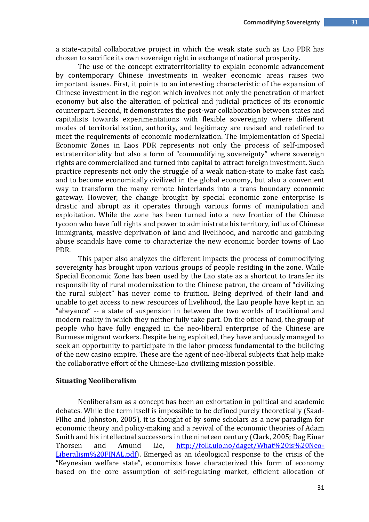a state-capital collaborative project in which the weak state such as Lao PDR has chosen to sacrifice its own sovereign right in exchange of national prosperity.

The use of the concept extraterritoriality to explain economic advancement by contemporary Chinese investments in weaker economic areas raises two important issues. First, it points to an interesting characteristic of the expansion of Chinese investment in the region which involves not only the penetration of market economy but also the alteration of political and judicial practices of its economic counterpart. Second, it demonstrates the post-war collaboration between states and capitalists towards experimentations with flexible sovereignty where different modes of territorialization, authority, and legitimacy are revised and redefined to meet the requirements of economic modernization. The implementation of Special Economic Zones in Laos PDR represents not only the process of self-imposed extraterritoriality but also a form of "commodifying sovereignty" where sovereign rights are commercialized and turned into capital to attract foreign investment. Such practice represents not only the struggle of a weak nation-state to make fast cash and to become economically civilized in the global economy, but also a convenient way to transform the many remote hinterlands into a trans boundary economic gateway. However, the change brought by special economic zone enterprise is drastic and abrupt as it operates through various forms of manipulation and exploitation. While the zone has been turned into a new frontier of the Chinese tycoon who have full rights and power to administrate his territory, influx of Chinese immigrants, massive deprivation of land and livelihood, and narcotic and gambling abuse scandals have come to characterize the new economic border towns of Lao PDR.

This paper also analyzes the different impacts the process of commodifying sovereignty has brought upon various groups of people residing in the zone. While Special Economic Zone has been used by the Lao state as a shortcut to transfer its responsibility of rural modernization to the Chinese patron, the dream of "civilizing the rural subject" has never come to fruition. Being deprived of their land and unable to get access to new resources of livelihood, the Lao people have kept in an "abeyance" -- a state of suspension in between the two worlds of traditional and modern reality in which they neither fully take part. On the other hand, the group of people who have fully engaged in the neo-liberal enterprise of the Chinese are Burmese migrant workers. Despite being exploited, they have arduously managed to seek an opportunity to participate in the labor process fundamental to the building of the new casino empire. These are the agent of neo-liberal subjects that help make the collaborative effort of the Chinese-Lao civilizing mission possible.

## **Situating Neoliberalism**

Neoliberalism as a concept has been an exhortation in political and academic debates. While the term itself is impossible to be defined purely theoretically (Saad-Filho and Johnston, 2005), it is thought of by some scholars as a new paradigm for economic theory and policy-making and a revival of the economic theories of Adam Smith and his intellectual successors in the nineteen century (Clark, 2005; Dag Einar Thorsen and Amund Lie, [http://folk.uio.no/daget/What%20is%20Neo-](http://folk.uio.no/daget/What%20is%20Neo-Liberalism%20FINAL.pdf)[Liberalism%20FINAL.pdf\)](http://folk.uio.no/daget/What%20is%20Neo-Liberalism%20FINAL.pdf). Emerged as an ideological response to the crisis of the "Keynesian welfare state", economists have characterized this form of economy based on the core assumption of self-regulating market, efficient allocation of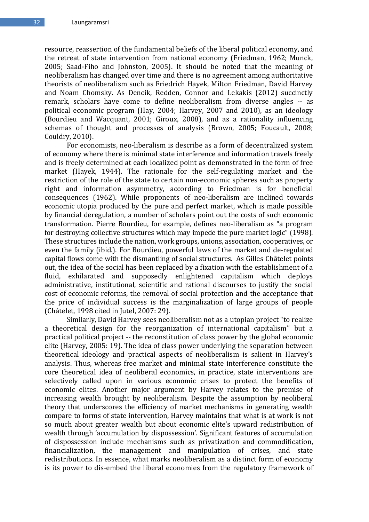resource, reassertion of the fundamental beliefs of the liberal political economy, and the retreat of state intervention from national economy (Friedman, 1962; Munck, 2005; Saad-Fiho and Johnston, 2005). It should be noted that the meaning of neoliberalism has changed over time and there is no agreement among authoritative theorists of neoliberalism such as Friedrich Hayek, Milton Friedman, David Harvey and Noam Chomsky. As Dencik, Redden, Connor and Lekakis (2012) succinctly remark, scholars have come to define neoliberalism from diverse angles -- as political economic program (Hay, 2004; Harvey, 2007 and 2010), as an ideology (Bourdieu and Wacquant, 2001; Giroux, 2008), and as a rationality influencing schemas of thought and processes of analysis (Brown, 2005; Foucault, 2008; Couldry, 2010).

For economists, neo-liberalism is describe as a form of decentralized system of economy where there is minimal state interference and information travels freely and is freely determined at each localized point as demonstrated in the form of free market (Hayek, 1944). The rationale for the self-regulating market and the restriction of the role of the state to certain non-economic spheres such as property right and information asymmetry, according to Friedman is for beneficial consequences (1962). While proponents of neo-liberalism are inclined towards economic utopia produced by the pure and perfect market, which is made possible by financial deregulation, a number of scholars point out the costs of such economic transformation. Pierre Bourdieu, for example, defines neo-liberalism as "a program for destroying collective structures which may impede the pure market logic" (1998). These structures include the nation, work groups, unions, association, cooperatives, or even the family (ibid.). For Bourdieu, powerful laws of the market and de-regulated capital flows come with the dismantling of social structures. As Gilles Châtelet points out, the idea of the social has been replaced by a fixation with the establishment of a fluid, exhilarated and supposedly enlightened capitalism which deploys administrative, institutional, scientific and rational discourses to justify the social cost of economic reforms, the removal of social protection and the acceptance that the price of individual success is the marginalization of large groups of people (Châtelet, 1998 cited in Jutel, 2007: 29).

Similarly, David Harvey sees neoliberalism not as a utopian project "to realize a theoretical design for the reorganization of international capitalism" but a practical political project -- the reconstitution of class power by the global economic elite (Harvey, 2005: 19). The idea of class power underlying the separation between theoretical ideology and practical aspects of neoliberalism is salient in Harvey's analysis. Thus, whereas free market and minimal state interference constitute the core theoretical idea of neoliberal economics, in practice, state interventions are selectively called upon in various economic crises to protect the benefits of economic elites. Another major argument by Harvey relates to the premise of increasing wealth brought by neoliberalism. Despite the assumption by neoliberal theory that underscores the efficiency of market mechanisms in generating wealth compare to forms of state intervention, Harvey maintains that what is at work is not so much about greater wealth but about economic elite's upward redistribution of wealth through 'accumulation by dispossession'. Significant features of accumulation of dispossession include mechanisms such as privatization and commodification, financialization, the management and manipulation of crises, and state redistributions. In essence, what marks neoliberalism as a distinct form of economy is its power to dis-embed the liberal economies from the regulatory framework of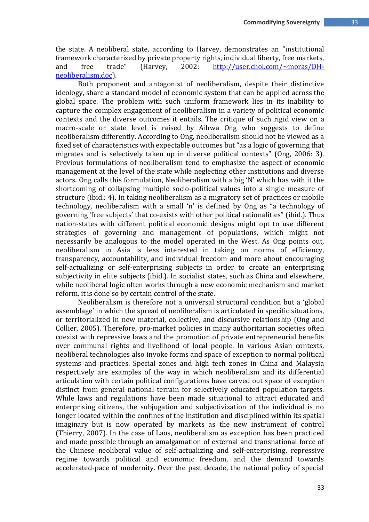the state. A neoliberal state, according to Harvey, demonstrates an "institutional framework characterized by private property rights, individual liberty, free markets, and free trade" (Harvey, 2002: [http://user.chol.com/~moras/DH](http://user.chol.com/~moras/DH-neoliberalism.doc)[neoliberalism.doc\)](http://user.chol.com/~moras/DH-neoliberalism.doc).

Both proponent and antagonist of neoliberalism, despite their distinctive ideology, share a standard model of economic system that can be applied across the global space. The problem with such uniform framework lies in its inability to capture the complex engagement of neoliberalism in a variety of political economic contexts and the diverse outcomes it entails. The critique of such rigid view on a macro-scale or state level is raised by Aihwa Ong who suggests to define neoliberalism differently. According to Ong, neoliberalism should not be viewed as a fixed set of characteristics with expectable outcomes but "as a logic of governing that migrates and is selectively taken up in diverse political contexts" (Ong, 2006: 3). Previous formulations of neoliberalism tend to emphasize the aspect of economic management at the level of the state while neglecting other institutions and diverse actors. Ong calls this formulation, Neoliberalism with a big 'N' which has with it the shortcoming of collapsing multiple socio-political values into a single measure of structure (ibid.: 4). In taking neoliberalism as a migratory set of practices or mobile technology, neoliberalism with a small 'n' is defined by Ong as "a technology of governing 'free subjects' that co-exists with other political rationalities" (ibid.). Thus nation-states with different political economic designs might opt to use different strategies of governing and management of populations, which might not necessarily be analogous to the model operated in the West. As Ong points out, neoliberalism in Asia is less interested in taking on norms of efficiency, transparency, accountability, and individual freedom and more about encouraging self-actualizing or self-enterprising subjects in order to create an enterprising subjectivity in elite subjects (ibid.). In socialist states, such as China and elsewhere, while neoliberal logic often works through a new economic mechanism and market reform, it is done so by certain control of the state.

Neoliberalism is therefore not a universal structural condition but a 'global assemblage' in which the spread of neoliberalism is articulated in specific situations, or territorialized in new material, collective, and discursive relationship (Ong and Collier, 2005). Therefore, pro-market policies in many authoritarian societies often coexist with repressive laws and the promotion of private entrepreneurial benefits over communal rights and livelihood of local people. In various Asian contexts, neoliberal technologies also invoke forms and space of exception to normal political systems and practices. Special zones and high tech zones in China and Malaysia respectively are examples of the way in which neoliberalism and its differential articulation with certain political configurations have carved out space of exception distinct from general national terrain for selectively educated population targets. While laws and regulations have been made situational to attract educated and enterprising citizens, the subjugation and subjectivization of the individual is no longer located within the confines of the institution and disciplined within its spatial imaginary but is now operated by markets as the new instrument of control (Thierry, 2007). In the case of Laos, neoliberalism as exception has been practiced and made possible through an amalgamation of external and transnational force of the Chinese neoliberal value of self-actualizing and self-enterprising, repressive regime towards political and economic freedom, and the demand towards accelerated-pace of modernity. Over the past decade, the national policy of special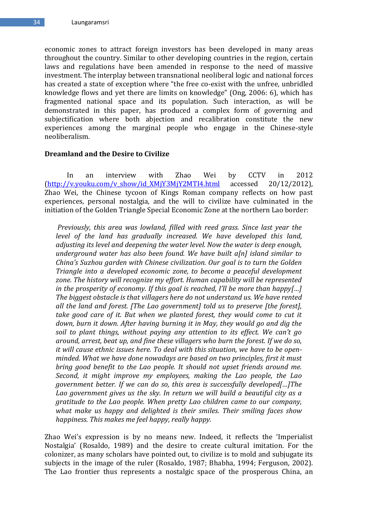economic zones to attract foreign investors has been developed in many areas throughout the country. Similar to other developing countries in the region, certain laws and regulations have been amended in response to the need of massive investment. The interplay between transnational neoliberal logic and national forces has created a state of exception where "the free co-exist with the unfree, unbridled knowledge flows and yet there are limits on knowledge" (Ong, 2006: 6), which has fragmented national space and its population. Such interaction, as will be demonstrated in this paper, has produced a complex form of governing and subjectification where both abjection and recalibration constitute the new experiences among the marginal people who engage in the Chinese-style neoliberalism.

## **Dreamland and the Desire to Civilize**

In an interview with Zhao Wei by CCTV in 2012 [\(http://v.youku.com/v\\_show/id\\_XMjY3MjY2MTI4.html](http://v.youku.com/v_show/id_XMjY3MjY2MTI4.html) accessed 20/12/2012), Zhao Wei, the Chinese tycoon of Kings Roman company reflects on how past experiences, personal nostalgia, and the will to civilize have culminated in the initiation of the Golden Triangle Special Economic Zone at the northern Lao border:

*Previously, this area was lowland, filled with reed grass. Since last year the level of the land has gradually increased. We have developed this land, adjusting its level and deepening the water level. Now the water is deep enough, underground water has also been found. We have built a[n] island similar to China's Suzhou garden with Chinese civilization. Our goal is to turn the Golden Triangle into a developed economic zone, to become a peaceful development zone. The history will recognize my effort. Human capability will be represented in the prosperity of economy. If this goal is reached, I'll be more than happy[…] The biggest obstacle is that villagers here do not understand us. We have rented all the land and forest. [The Lao government] told us to preserve [the forest],*  take good care of it. But when we planted forest, they would come to cut it *down, burn it down. After having burning it in May, they would go and dig the soil to plant things, without paying any attention to its effect. We can't go around, arrest, beat up, and fine these villagers who burn the forest. If we do so, it will cause ethnic issues here. To deal with this situation, we have to be openminded. What we have done nowadays are based on two principles, first it must bring good benefit to the Lao people. It should not upset friends around me. Second, it might improve my employees, making the Lao people, the Lao government better. If we can do so, this area is successfully developed[…]The Lao government gives us the sky. In return we will build a beautiful city as a gratitude to the Lao people. When pretty Lao children came to our company, what make us happy and delighted is their smiles. Their smiling faces show happiness. This makes me feel happy, really happy.*

Zhao Wei's expression is by no means new. Indeed, it reflects the 'Imperialist Nostalgia' (Rosaldo, 1989) and the desire to create cultural imitation. For the colonizer, as many scholars have pointed out, to civilize is to mold and subjugate its subjects in the image of the ruler (Rosaldo, 1987; Bhabha, 1994; Ferguson, 2002). The Lao frontier thus represents a nostalgic space of the prosperous China, an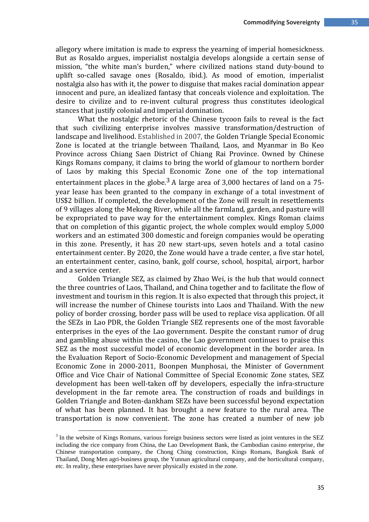allegory where imitation is made to express the yearning of imperial homesickness. But as Rosaldo argues, imperialist nostalgia develops alongside a certain sense of mission, "the white man's burden," where civilized nations stand duty-bound to uplift so-called savage ones (Rosaldo, ibid.). As mood of emotion, imperialist nostalgia also has with it, the power to disguise that makes racial domination appear innocent and pure, an idealized fantasy that conceals violence and exploitation. The desire to civilize and to re-invent cultural progress thus constitutes ideological stances that justify colonial and imperial domination.

What the nostalgic rhetoric of the Chinese tycoon fails to reveal is the fact that such civilizing enterprise involves massive transformation/destruction of landscape and livelihood. Established in 2007, the Golden Triangle Special Economic Zone is located at the triangle between Thailand, Laos, and Myanmar in Bo Keo Province across Chiang Saen District of Chiang Rai Province. Owned by Chinese Kings Romans company, it claims to bring the world of glamour to northern border of Laos by making this Special Economic Zone one of the top international entertainment places in the globe.<sup>3</sup> A large area of 3,000 hectares of land on a 75year lease has been granted to the company in exchange of a total investment of US\$2 billion. If completed, the development of the Zone will result in resettlements of 9 villages along the Mekong River, while all the farmland, garden, and pasture will be expropriated to pave way for the entertainment complex. Kings Roman claims that on completion of this gigantic project, the whole complex would employ 5,000 workers and an estimated 300 domestic and foreign companies would be operating in this zone. Presently, it has 20 new start-ups, seven hotels and a total casino entertainment center. By 2020, the Zone would have a trade center, a five star hotel, an entertainment center, casino, bank, golf course, school, hospital, airport, harbor and a service center.

Golden Triangle SEZ, as claimed by Zhao Wei, is the hub that would connect the three countries of Laos, Thailand, and China together and to facilitate the flow of investment and tourism in this region. It is also expected that through this project, it will increase the number of Chinese tourists into Laos and Thailand. With the new policy of border crossing, border pass will be used to replace visa application. Of all the SEZs in Lao PDR, the Golden Triangle SEZ represents one of the most favorable enterprises in the eyes of the Lao government. Despite the constant rumor of drug and gambling abuse within the casino, the Lao government continues to praise this SEZ as the most successful model of economic development in the border area. In the Evaluation Report of Socio-Economic Development and management of Special Economic Zone in 2000-2011, Boonpen Munphosai, the Minister of Government Office and Vice Chair of National Committee of Special Economic Zone states, SEZ development has been well-taken off by developers, especially the infra-structure development in the far remote area. The construction of roads and buildings in Golden Triangle and Boten-dankham SEZs have been successful beyond expectation of what has been planned. It has brought a new feature to the rural area. The transportation is now convenient. The zone has created a number of new job

1

<sup>&</sup>lt;sup>3</sup> In the website of Kings Romans, various foreign business sectors were listed as joint ventures in the SEZ including the rice company from China, the Lao Development Bank, the Cambodian casino enterprise, the Chinese transportation company, the Chong Ching construction, Kings Romans, Bangkok Bank of Thailand, Dong Men agri-business group, the Yunnan agricultural company, and the horticultural company, etc. In reality, these enterprises have never physically existed in the zone.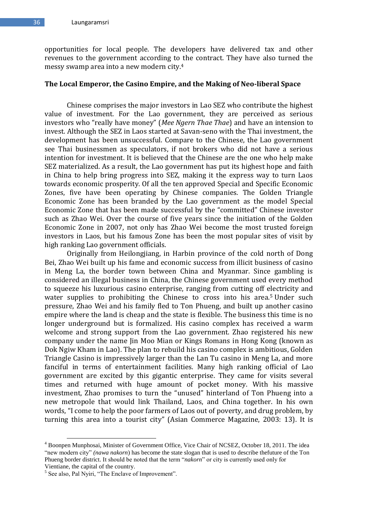opportunities for local people. The developers have delivered tax and other revenues to the government according to the contract. They have also turned the messy swamp area into a new modern city.<sup>4</sup>

#### **The Local Emperor, the Casino Empire, and the Making of Neo-liberal Space**

Chinese comprises the major investors in Lao SEZ who contribute the highest value of investment. For the Lao government, they are perceived as serious investors who "really have money" (*Mee Ngern Thae Thae*) and have an intension to invest. Although the SEZ in Laos started at Savan-seno with the Thai investment, the development has been unsuccessful. Compare to the Chinese, the Lao government see Thai businessmen as speculators, if not brokers who did not have a serious intention for investment. It is believed that the Chinese are the one who help make SEZ materialized. As a result, the Lao government has put its highest hope and faith in China to help bring progress into SEZ, making it the express way to turn Laos towards economic prosperity. Of all the ten approved Special and Specific Economic Zones, five have been operating by Chinese companies. The Golden Triangle Economic Zone has been branded by the Lao government as the model Special Economic Zone that has been made successful by the "committed" Chinese investor such as Zhao Wei. Over the course of five years since the initiation of the Golden Economic Zone in 2007, not only has Zhao Wei become the most trusted foreign investors in Laos, but his famous Zone has been the most popular sites of visit by high ranking Lao government officials.

Originally from Heilongjiang, in Harbin province of the cold north of Dong Bei, Zhao Wei built up his fame and economic success from illicit business of casino in Meng La, the border town between China and Myanmar. Since gambling is considered an illegal business in China, the Chinese government used every method to squeeze his luxurious casino enterprise, ranging from cutting off electricity and water supplies to prohibiting the Chinese to cross into his area.<sup>5</sup> Under such pressure, Zhao Wei and his family fled to Ton Phueng, and built up another casino empire where the land is cheap and the state is flexible. The business this time is no longer underground but is formalized. His casino complex has received a warm welcome and strong support from the Lao government. Zhao registered his new company under the name Jin Moo Mian or Kings Romans in Hong Kong (known as Dok Ngiw Kham in Lao). The plan to rebuild his casino complex is ambitious, Golden Triangle Casino is impressively larger than the Lan Tu casino in Meng La, and more fanciful in terms of entertainment facilities. Many high ranking official of Lao government are excited by this gigantic enterprise. They came for visits several times and returned with huge amount of pocket money. With his massive investment, Zhao promises to turn the "unused" hinterland of Ton Phueng into a new metropole that would link Thailand, Laos, and China together. In his own words, "I come to help the poor farmers of Laos out of poverty, and drug problem, by turning this area into a tourist city" (Asian Commerce Magazine, 2003: 13). It is

**.** 

<sup>4</sup> Boonpen Munphosai, Minister of Government Office, Vice Chair of NCSEZ, October 18, 2011. The idea "new modern city" *(nawa nakorn*) has become the state slogan that is used to describe thefuture of the Ton Phueng border district. It should be noted that the term "*nakorn*" or city is currently used only for Vientiane, the capital of the country.

<sup>&</sup>lt;sup>5</sup> See also, Pal Nyiri, "The Enclave of Improvement".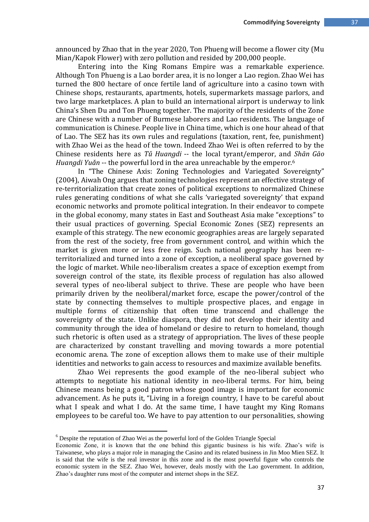Entering into the King Romans Empire was a remarkable experience. Although Ton Phueng is a Lao border area, it is no longer a Lao region. Zhao Wei has turned the 800 hectare of once fertile land of agriculture into a casino town with Chinese shops, restaurants, apartments, hotels, supermarkets massage parlors, and two large marketplaces. A plan to build an international airport is underway to link China's Shen Du and Ton Phueng together. The majority of the residents of the Zone are Chinese with a number of Burmese laborers and Lao residents. The language of communication is Chinese. People live in China time, which is one hour ahead of that of Lao. The SEZ has its own rules and regulations (taxation, rent, fee, punishment) with Zhao Wei as the head of the town. Indeed Zhao Wei is often referred to by the Chinese residents here as *Tǔ Huangdi* -- the local tyrant/emperor, and *Shān Gāo Huangdi Yuǎn* -- the powerful lord in the area unreachable by the emperor.<sup>6</sup>

In "The Chinese Axis: Zoning Technologies and Variegated Sovereignty" (2004), Aiwah Ong argues that zoning technologies represent an effective strategy of re-territorialization that create zones of political exceptions to normalized Chinese rules generating conditions of what she calls 'variegated sovereignty' that expand economic networks and promote political integration. In their endeavor to compete in the global economy, many states in East and Southeast Asia make "exceptions" to their usual practices of governing. Special Economic Zones (SEZ) represents an example of this strategy. The new economic geographies areas are largely separated from the rest of the society, free from government control, and within which the market is given more or less free reign. Such national geography has been reterritorialized and turned into a zone of exception, a neoliberal space governed by the logic of market. While neo-liberalism creates a space of exception exempt from sovereign control of the state, its flexible process of regulation has also allowed several types of neo-liberal subject to thrive. These are people who have been primarily driven by the neoliberal/market force, escape the power/control of the state by connecting themselves to multiple prospective places, and engage in multiple forms of citizenship that often time transcend and challenge the sovereignty of the state. Unlike diaspora, they did not develop their identity and community through the idea of homeland or desire to return to homeland, though such rhetoric is often used as a strategy of appropriation. The lives of these people are characterized by constant travelling and moving towards a more potential economic arena. The zone of exception allows them to make use of their multiple identities and networks to gain access to resources and maximize available benefits.

Zhao Wei represents the good example of the neo-liberal subject who attempts to negotiate his national identity in neo-liberal terms. For him, being Chinese means being a good patron whose good image is important for economic advancement. As he puts it, "Living in a foreign country, I have to be careful about what I speak and what I do. At the same time, I have taught my King Romans employees to be careful too. We have to pay attention to our personalities, showing

1

<sup>&</sup>lt;sup>6</sup> Despite the reputation of Zhao Wei as the powerful lord of the Golden Triangle Special

Economic Zone, it is known that the one behind this gigantic business is his wife. Zhao's wife is Taiwanese, who plays a major role in managing the Casino and its related business in Jin Moo Mien SEZ. It is said that the wife is the real investor in this zone and is the most powerful figure who controls the economic system in the SEZ. Zhao Wei, however, deals mostly with the Lao government. In addition, Zhao's daughter runs most of the computer and internet shops in the SEZ.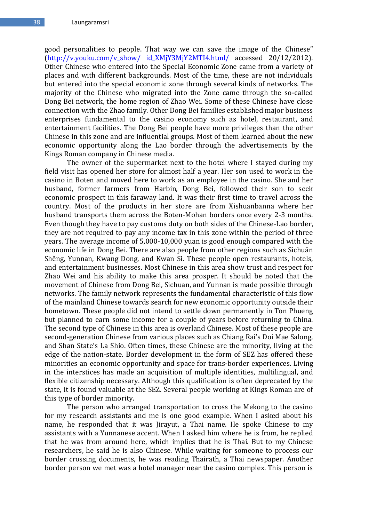good personalities to people. That way we can save the image of the Chinese" [\(http://v.youku.com/v\\_show/ id\\_XMjY3MjY2MTI4.html/](http://v.youku.com/v_show/%20id_XMjY3MjY2MTI4.html/) accessed 20/12/2012). Other Chinese who entered into the Special Economic Zone came from a variety of places and with different backgrounds. Most of the time, these are not individuals but entered into the special economic zone through several kinds of networks. The majority of the Chinese who migrated into the Zone came through the so-called Dong Bei network, the home region of Zhao Wei. Some of these Chinese have close connection with the Zhao family. Other Dong Bei families established major business enterprises fundamental to the casino economy such as hotel, restaurant, and entertainment facilities. The Dong Bei people have more privileges than the other Chinese in this zone and are influential groups. Most of them learned about the new economic opportunity along the Lao border through the advertisements by the Kings Roman company in Chinese media.

The owner of the supermarket next to the hotel where I stayed during my field visit has opened her store for almost half a year. Her son used to work in the casino in Boten and moved here to work as an employee in the casino. She and her husband, former farmers from Harbin, Dong Bei, followed their son to seek economic prospect in this faraway land. It was their first time to travel across the country. Most of the products in her store are from Xishuanbanna where her husband transports them across the Boten-Mohan borders once every 2-3 months. Even though they have to pay customs duty on both sides of the Chinese-Lao border, they are not required to pay any income tax in this zone within the period of three years. The average income of 5,000-10,000 yuan is good enough compared with the economic life in Dong Bei. There are also people from other regions such as Sichuān Shěng, Yunnan, Kwang Dong, and Kwan Si. These people open restaurants, hotels, and entertainment businesses. Most Chinese in this area show trust and respect for Zhao Wei and his ability to make this area prosper. It should be noted that the movement of Chinese from Dong Bei, Sichuan, and Yunnan is made possible through networks. The family network represents the fundamental characteristic of this flow of the mainland Chinese towards search for new economic opportunity outside their hometown. These people did not intend to settle down permanently in Ton Phueng but planned to earn some income for a couple of years before returning to China. The second type of Chinese in this area is overland Chinese. Most of these people are second-generation Chinese from various places such as Chiang Rai's Doi Mae Salong, and Shan State's La Shio. Often times, these Chinese are the minority, living at the edge of the nation-state. Border development in the form of SEZ has offered these minorities an economic opportunity and space for trans-border experiences. Living in the interstices has made an acquisition of multiple identities, multilingual, and flexible citizenship necessary. Although this qualification is often deprecated by the state, it is found valuable at the SEZ. Several people working at Kings Roman are of this type of border minority.

The person who arranged transportation to cross the Mekong to the casino for my research assistants and me is one good example. When I asked about his name, he responded that it was Jirayut, a Thai name. He spoke Chinese to my assistants with a Yunnanese accent. When I asked him where he is from, he replied that he was from around here, which implies that he is Thai. But to my Chinese researchers, he said he is also Chinese. While waiting for someone to process our border crossing documents, he was reading Thairath, a Thai newspaper. Another border person we met was a hotel manager near the casino complex. This person is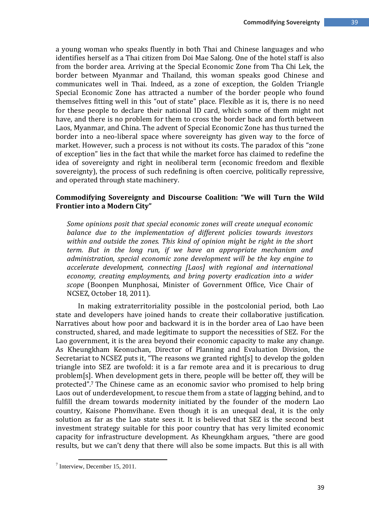border between Myanmar and Thailand, this woman speaks good Chinese and communicates well in Thai. Indeed, as a zone of exception, the Golden Triangle Special Economic Zone has attracted a number of the border people who found themselves fitting well in this "out of state" place. Flexible as it is, there is no need for these people to declare their national ID card, which some of them might not have, and there is no problem for them to cross the border back and forth between Laos, Myanmar, and China. The advent of Special Economic Zone has thus turned the border into a neo-liberal space where sovereignty has given way to the force of market. However, such a process is not without its costs. The paradox of this "zone of exception" lies in the fact that while the market force has claimed to redefine the idea of sovereignty and right in neoliberal term (economic freedom and flexible sovereignty), the process of such redefining is often coercive, politically repressive, and operated through state machinery.

# **Commodifying Sovereignty and Discourse Coalition: "We will Turn the Wild Frontier into a Modern City"**

*Some opinions posit that special economic zones will create unequal economic balance due to the implementation of different policies towards investors within and outside the zones. This kind of opinion might be right in the short term. But in the long run, if we have an appropriate mechanism and administration, special economic zone development will be the key engine to accelerate development, connecting [Laos] with regional and international economy, creating employments, and bring poverty eradication into a wider scope* (Boonpen Munphosai, Minister of Government Office, Vice Chair of NCSEZ, October 18, 2011).

In making extraterritoriality possible in the postcolonial period, both Lao state and developers have joined hands to create their collaborative justification. Narratives about how poor and backward it is in the border area of Lao have been constructed, shared, and made legitimate to support the necessities of SEZ. For the Lao government, it is the area beyond their economic capacity to make any change. As Kheungkham Keonuchan, Director of Planning and Evaluation Division, the Secretariat to NCSEZ puts it, "The reasons we granted right[s] to develop the golden triangle into SEZ are twofold: it is a far remote area and it is precarious to drug problem[s]. When development gets in there, people will be better off, they will be protected".<sup>7</sup> The Chinese came as an economic savior who promised to help bring Laos out of underdevelopment, to rescue them from a state of lagging behind, and to fulfill the dream towards modernity initiated by the founder of the modern Lao country, Kaisone Phomvihane. Even though it is an unequal deal, it is the only solution as far as the Lao state sees it. It is believed that SEZ is the second best investment strategy suitable for this poor country that has very limited economic capacity for infrastructure development. As Kheungkham argues, "there are good results, but we can't deny that there will also be some impacts. But this is all with

**.** 

<sup>&</sup>lt;sup>7</sup> Interview, December 15, 2011.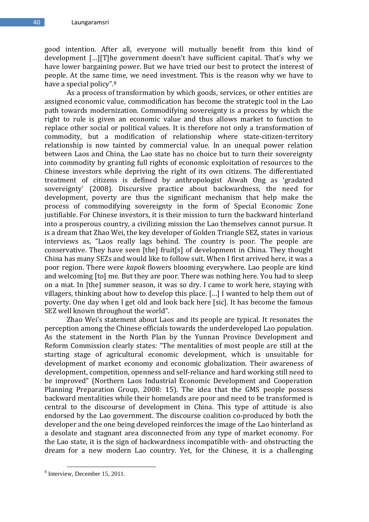good intention. After all, everyone will mutually benefit from this kind of development […][T]he government doesn't have sufficient capital. That's why we have lower bargaining power. But we have tried our best to protect the interest of people. At the same time, we need investment. This is the reason why we have to have a special policy".<sup>8</sup>

As a process of transformation by which goods, services, or other entities are assigned economic value, commodification has become the strategic tool in the Lao path towards modernization. Commodifying sovereignty is a process by which the right to rule is given an economic value and thus allows market to function to replace other social or political values. It is therefore not only a transformation of commodity, but a modification of relationship where state-citizen-territory relationship is now tainted by commercial value. In an unequal power relation between Laos and China, the Lao state has no choice but to turn their sovereignty into commodity by granting full rights of economic exploitation of resources to the Chinese investors while depriving the right of its own citizens. The differentiated treatment of citizens is defined by anthropologist Aiwah Ong as 'gradated sovereignty' (2008). Discursive practice about backwardness, the need for development, poverty are thus the significant mechanism that help make the process of commodifying sovereignty in the form of Special Economic Zone justifiable. For Chinese investors, it is their mission to turn the backward hinterland into a prosperous country, a civilizing mission the Lao themselves cannot pursue. It is a dream that Zhao Wei, the key developer of Golden Triangle SEZ, states in various interviews as, "Laos really lags behind. The country is poor. The people are conservative. They have seen [the] fruit[s] of development in China. They thought China has many SEZs and would like to follow suit. When I first arrived here, it was a poor region. There were *kapok* flowers blooming everywhere. Lao people are kind and welcoming [to] me. But they are poor. There was nothing here. You had to sleep on a mat. In [the] summer season, it was so dry. I came to work here, staying with villagers, thinking about how to develop this place. […] I wanted to help them out of poverty. One day when I get old and look back here [sic]. It has become the famous SEZ well known throughout the world".

Zhao Wei's statement about Laos and its people are typical. It resonates the perception among the Chinese officials towards the underdeveloped Lao population. As the statement in the North Plan by the Yunnan Province Development and Reform Commission clearly states: "The mentalities of most people are still at the starting stage of agricultural economic development, which is unsuitable for development of market economy and economic globalization. Their awareness of development, competition, openness and self-reliance and hard working still need to be improved" (Northern Laos Industrial Economic Development and Cooperation Planning Preparation Group, 2008: 15). The idea that the GMS people possess backward mentalities while their homelands are poor and need to be transformed is central to the discourse of development in China. This type of attitude is also endorsed by the Lao government. The discourse coalition co-produced by both the developer and the one being developed reinforces the image of the Lao hinterland as a desolate and stagnant area disconnected from any type of market economy. For the Lao state, it is the sign of backwardness incompatible with- and obstructing the dream for a new modern Lao country. Yet, for the Chinese, it is a challenging

**.** 

<sup>8</sup> Interview, December 15, 2011.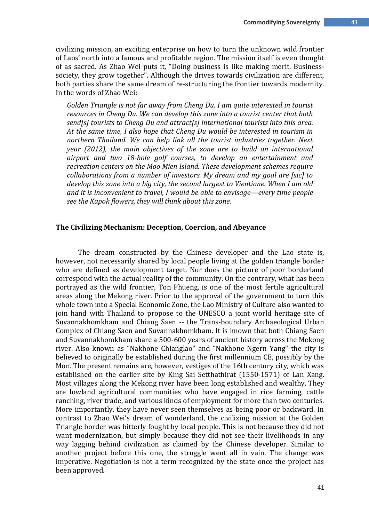civilizing mission, an exciting enterprise on how to turn the unknown wild frontier of Laos' north into a famous and profitable region. The mission itself is even thought of as sacred. As Zhao Wei puts it, "Doing business is like making merit. Businesssociety, they grow together". Although the drives towards civilization are different, both parties share the same dream of re-structuring the frontier towards modernity. In the words of Zhao Wei:

*Golden Triangle is not far away from Cheng Du. I am quite interested in tourist resources in Cheng Du. We can develop this zone into a tourist center that both send[s] tourists to Cheng Du and attract[s] international tourists into this area. At the same time, I also hope that Cheng Du would be interested in tourism in northern Thailand. We can help link all the tourist industries together. Next year (2012), the main objectives of the zone are to build an international airport and two 18-hole golf courses, to develop an entertainment and recreation centers on the Moo Mien Island. These development schemes require collaborations from a number of investors. My dream and my goal are [sic] to develop this zone into a big city, the second largest to Vientiane. When I am old and it is inconvenient to travel, I would be able to envisage—every time people see the Kapok flowers, they will think about this zone.*

## **The Civilizing Mechanism: Deception, Coercion, and Abeyance**

The dream constructed by the Chinese developer and the Lao state is, however, not necessarily shared by local people living at the golden triangle border who are defined as development target. Nor does the picture of poor borderland correspond with the actual reality of the community. On the contrary, what has been portrayed as the wild frontier, Ton Phueng, is one of the most fertile agricultural areas along the Mekong river. Prior to the approval of the government to turn this whole town into a Special Economic Zone, the Lao Ministry of Culture also wanted to join hand with Thailand to propose to the UNESCO a joint world heritage site of Suvannakhomkham and Chiang Saen -- the Trans-boundary Archaeological Urban Complex of Chiang Saen and Suvannakhomkham. It is known that both Chiang Saen and Suvannakhomkham share a 500-600 years of ancient history across the Mekong river. Also known as "Nakhone Chianglao" and "Nakhone Ngern Yang" the city is believed to originally be established during the first millennium CE, possibly by the Mon. The present remains are, however, vestiges of the 16th century city, which was established on the earlier site by King Sai Setthathirat (1550-1571) of Lan Xang. Most villages along the Mekong river have been long established and wealthy. They are lowland agricultural communities who have engaged in rice farming, cattle ranching, river trade, and various kinds of employment for more than two centuries. More importantly, they have never seen themselves as being poor or backward. In contrast to Zhao Wei's dream of wonderland, the civilizing mission at the Golden Triangle border was bitterly fought by local people. This is not because they did not want modernization, but simply because they did not see their livelihoods in any way lagging behind civilization as claimed by the Chinese developer. Similar to another project before this one, the struggle went all in vain. The change was imperative. Negotiation is not a term recognized by the state once the project has been approved.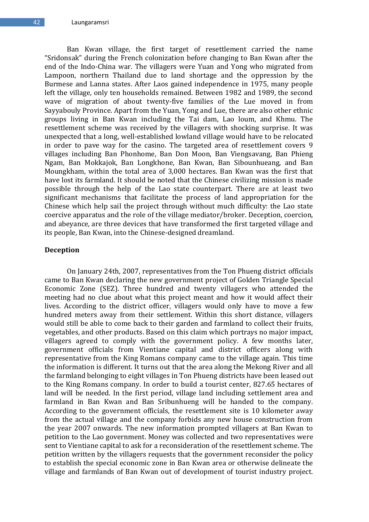Ban Kwan village, the first target of resettlement carried the name "Sridonsak" during the French colonization before changing to Ban Kwan after the end of the Indo-China war. The villagers were Yuan and Yong who migrated from Lampoon, northern Thailand due to land shortage and the oppression by the Burmese and Lanna states. After Laos gained independence in 1975, many people left the village, only ten households remained. Between 1982 and 1989, the second wave of migration of about twenty-five families of the Lue moved in from Sayyabouly Province. Apart from the Yuan, Yong and Lue, there are also other ethnic groups living in Ban Kwan including the Tai dam, Lao loum, and Khmu. The resettlement scheme was received by the villagers with shocking surprise. It was unexpected that a long, well-established lowland village would have to be relocated in order to pave way for the casino. The targeted area of resettlement covers 9 villages including Ban Phonhome, Ban Don Moon, Ban Viengsavang, Ban Phieng Ngam, Ban Mokkajok, Ban Longkhone, Ban Kwan, Ban Sibounhueang, and Ban Moungkham, within the total area of 3,000 hectares. Ban Kwan was the first that have lost its farmland. It should be noted that the Chinese civilizing mission is made possible through the help of the Lao state counterpart. There are at least two significant mechanisms that facilitate the process of land appropriation for the Chinese which help sail the project through without much difficulty: the Lao state coercive apparatus and the role of the village mediator/broker. Deception, coercion, and abeyance, are three devices that have transformed the first targeted village and its people, Ban Kwan, into the Chinese-designed dreamland.

## **Deception**

On January 24th, 2007, representatives from the Ton Phueng district officials came to Ban Kwan declaring the new government project of Golden Triangle Special Economic Zone (SEZ). Three hundred and twenty villagers who attended the meeting had no clue about what this project meant and how it would affect their lives. According to the district officer, villagers would only have to move a few hundred meters away from their settlement. Within this short distance, villagers would still be able to come back to their garden and farmland to collect their fruits, vegetables, and other products. Based on this claim which portrays no major impact, villagers agreed to comply with the government policy. A few months later, government officials from Vientiane capital and district officers along with representative from the King Romans company came to the village again. This time the information is different. It turns out that the area along the Mekong River and all the farmland belonging to eight villages in Ton Phueng districts have been leased out to the King Romans company. In order to build a tourist center, 827.65 hectares of land will be needed. In the first period, village land including settlement area and farmland in Ban Kwan and Ban Sribunhueng will be handed to the company. According to the government officials, the resettlement site is 10 kilometer away from the actual village and the company forbids any new house construction from the year 2007 onwards. The new information prompted villagers at Ban Kwan to petition to the Lao government. Money was collected and two representatives were sent to Vientiane capital to ask for a reconsideration of the resettlement scheme. The petition written by the villagers requests that the government reconsider the policy to establish the special economic zone in Ban Kwan area or otherwise delineate the village and farmlands of Ban Kwan out of development of tourist industry project.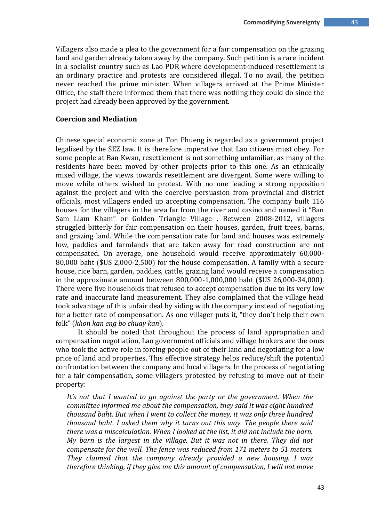Villagers also made a plea to the government for a fair compensation on the grazing land and garden already taken away by the company. Such petition is a rare incident in a socialist country such as Lao PDR where development-induced resettlement is an ordinary practice and protests are considered illegal. To no avail, the petition never reached the prime minister. When villagers arrived at the Prime Minister Office, the staff there informed them that there was nothing they could do since the project had already been approved by the government.

## **Coercion and Mediation**

Chinese special economic zone at Ton Phueng is regarded as a government project legalized by the SEZ law. It is therefore imperative that Lao citizens must obey. For some people at Ban Kwan, resettlement is not something unfamiliar, as many of the residents have been moved by other projects prior to this one. As an ethnically mixed village, the views towards resettlement are divergent. Some were willing to move while others wished to protest. With no one leading a strong opposition against the project and with the coercive persuasion from provincial and district officials, most villagers ended up accepting compensation. The company built 116 houses for the villagers in the area far from the river and casino and named it "Ban Sam Liam Kham" or Golden Triangle Village . Between 2008-2012, villagers struggled bitterly for fair compensation on their houses, garden, fruit trees, barns, and grazing land. While the compensation rate for land and houses was extremely low, paddies and farmlands that are taken away for road construction are not compensated. On average, one household would receive approximately 60,000- 80,000 baht (\$US 2,000-2,500) for the house compensation. A family with a secure house, rice barn, garden, paddies, cattle, grazing land would receive a compensation in the approximate amount between 800,000-1,000,000 baht (\$US 26,000-34,000). There were five households that refused to accept compensation due to its very low rate and inaccurate land measurement. They also complained that the village head took advantage of this unfair deal by siding with the company instead of negotiating for a better rate of compensation. As one villager puts it, "they don't help their own folk" (*khon kan eng bo chuay kan*).

It should be noted that throughout the process of land appropriation and compensation negotiation, Lao government officials and village brokers are the ones who took the active role in forcing people out of their land and negotiating for a low price of land and properties. This effective strategy helps reduce/shift the potential confrontation between the company and local villagers. In the process of negotiating for a fair compensation, some villagers protested by refusing to move out of their property:

It's not that I wanted to go against the party or the government. When the *committee informed me about the compensation, they said it was eight hundred thousand baht. But when I went to collect the money, it was only three hundred thousand baht. I asked them why it turns out this way. The people there said there was a miscalculation. When I looked at the list, it did not include the barn. My barn is the largest in the village. But it was not in there. They did not compensate for the well. The fence was reduced from 171 meters to 51 meters. They claimed that the company already provided a new housing. I was therefore thinking, if they give me this amount of compensation, I will not move*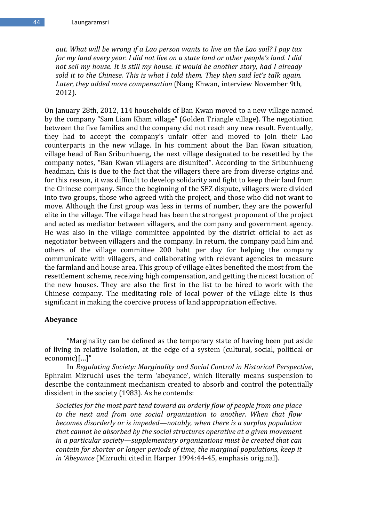*out. What will be wrong if a Lao person wants to live on the Lao soil? I pay tax for my land every year. I did not live on a state land or other people's land. I did not sell my house. It is still my house. It would be another story, had I already sold it to the Chinese. This is what I told them. They then said let's talk again. Later, they added more compensation* (Nang Khwan, interview November 9th, 2012).

On January 28th, 2012, 114 households of Ban Kwan moved to a new village named by the company "Sam Liam Kham village" (Golden Triangle village). The negotiation between the five families and the company did not reach any new result. Eventually, they had to accept the company's unfair offer and moved to join their Lao counterparts in the new village. In his comment about the Ban Kwan situation, village head of Ban Sribunhueng, the next village designated to be resettled by the company notes, "Ban Kwan villagers are disunited". According to the Sribunhueng headman, this is due to the fact that the villagers there are from diverse origins and for this reason, it was difficult to develop solidarity and fight to keep their land from the Chinese company. Since the beginning of the SEZ dispute, villagers were divided into two groups, those who agreed with the project, and those who did not want to move. Although the first group was less in terms of number, they are the powerful elite in the village. The village head has been the strongest proponent of the project and acted as mediator between villagers, and the company and government agency. He was also in the village committee appointed by the district official to act as negotiator between villagers and the company. In return, the company paid him and others of the village committee 200 baht per day for helping the company communicate with villagers, and collaborating with relevant agencies to measure the farmland and house area. This group of village elites benefited the most from the resettlement scheme, receiving high compensation, and getting the nicest location of the new houses. They are also the first in the list to be hired to work with the Chinese company. The meditating role of local power of the village elite is thus significant in making the coercive process of land appropriation effective.

#### **Abeyance**

"Marginality can be defined as the temporary state of having been put aside of living in relative isolation, at the edge of a system (cultural, social, political or economic)[…]"

In *Regulating Society: Marginality and Social Control in Historical Perspective*, Ephraim Mizruchi uses the term 'abeyance', which literally means suspension to describe the containment mechanism created to absorb and control the potentially dissident in the society (1983). As he contends:

*Societies for the most part tend toward an orderly flow of people from one place to the next and from one social organization to another. When that flow becomes disorderly or is impeded—notably, when there is a surplus population that cannot be absorbed by the social structures operative at a given movement in a particular society—supplementary organizations must be created that can contain for shorter or longer periods of time, the marginal populations, keep it in 'Abeyance* (Mizruchi cited in Harper 1994:44-45, emphasis original).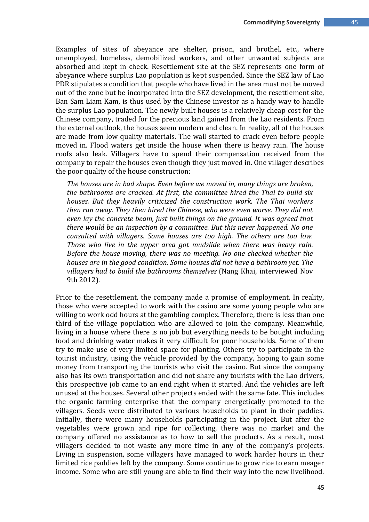Examples of sites of abeyance are shelter, prison, and brothel, etc., where unemployed, homeless, demobilized workers, and other unwanted subjects are absorbed and kept in check. Resettlement site at the SEZ represents one form of abeyance where surplus Lao population is kept suspended. Since the SEZ law of Lao PDR stipulates a condition that people who have lived in the area must not be moved out of the zone but be incorporated into the SEZ development, the resettlement site, Ban Sam Liam Kam, is thus used by the Chinese investor as a handy way to handle the surplus Lao population. The newly built houses is a relatively cheap cost for the Chinese company, traded for the precious land gained from the Lao residents. From the external outlook, the houses seem modern and clean. In reality, all of the houses are made from low quality materials. The wall started to crack even before people moved in. Flood waters get inside the house when there is heavy rain. The house roofs also leak. Villagers have to spend their compensation received from the company to repair the houses even though they just moved in. One villager describes the poor quality of the house construction:

*The houses are in bad shape. Even before we moved in, many things are broken, the bathrooms are cracked. At first, the committee hired the Thai to build six houses. But they heavily criticized the construction work. The Thai workers then ran away. They then hired the Chinese, who were even worse. They did not even lay the concrete beam, just built things on the ground. It was agreed that there would be an inspection by a committee. But this never happened. No one consulted with villagers. Some houses are too high. The others are too low. Those who live in the upper area got mudslide when there was heavy rain. Before the house moving, there was no meeting. No one checked whether the houses are in the good condition. Some houses did not have a bathroom yet. The villagers had to build the bathrooms themselves* (Nang Khai, interviewed Nov 9th 2012).

Prior to the resettlement, the company made a promise of employment. In reality, those who were accepted to work with the casino are some young people who are willing to work odd hours at the gambling complex. Therefore, there is less than one third of the village population who are allowed to join the company. Meanwhile, living in a house where there is no job but everything needs to be bought including food and drinking water makes it very difficult for poor households. Some of them try to make use of very limited space for planting. Others try to participate in the tourist industry, using the vehicle provided by the company, hoping to gain some money from transporting the tourists who visit the casino. But since the company also has its own transportation and did not share any tourists with the Lao drivers, this prospective job came to an end right when it started. And the vehicles are left unused at the houses. Several other projects ended with the same fate. This includes the organic farming enterprise that the company energetically promoted to the villagers. Seeds were distributed to various households to plant in their paddies. Initially, there were many households participating in the project. But after the vegetables were grown and ripe for collecting, there was no market and the company offered no assistance as to how to sell the products. As a result, most villagers decided to not waste any more time in any of the company's projects. Living in suspension, some villagers have managed to work harder hours in their limited rice paddies left by the company. Some continue to grow rice to earn meager income. Some who are still young are able to find their way into the new livelihood.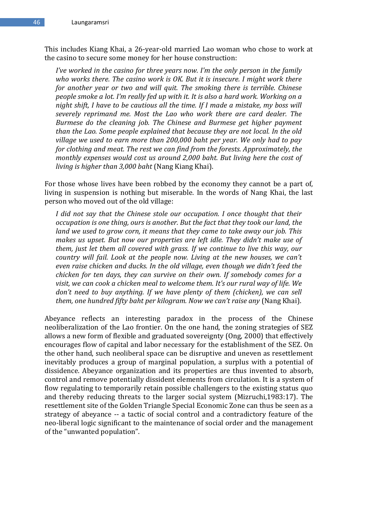This includes Kiang Khai, a 26-year-old married Lao woman who chose to work at the casino to secure some money for her house construction:

*I've worked in the casino for three years now. I'm the only person in the family who works there. The casino work is OK. But it is insecure. I might work there for another year or two and will quit. The smoking there is terrible. Chinese people smoke a lot. I'm really fed up with it. It is also a hard work. Working on a night shift, I have to be cautious all the time. If I made a mistake, my boss will severely reprimand me. Most the Lao who work there are card dealer. The Burmese do the cleaning job. The Chinese and Burmese get higher payment than the Lao. Some people explained that because they are not local. In the old village we used to earn more than 200,000 baht per year. We only had to pay for clothing and meat. The rest we can find from the forests. Approximately, the monthly expenses would cost us around 2,000 baht. But living here the cost of living is higher than 3,000 baht* (Nang Kiang Khai).

For those whose lives have been robbed by the economy they cannot be a part of, living in suspension is nothing but miserable. In the words of Nang Khai, the last person who moved out of the old village:

*I did not say that the Chinese stole our occupation. I once thought that their occupation is one thing, ours is another. But the fact that they took our land, the land we used to grow corn, it means that they came to take away our job. This makes us upset. But now our properties are left idle. They didn't make use of them, just let them all covered with grass. If we continue to live this way, our country will fail. Look at the people now. Living at the new houses, we can't even raise chicken and ducks. In the old village, even though we didn't feed the chicken for ten days, they can survive on their own. If somebody comes for a visit, we can cook a chicken meal to welcome them. It's our rural way of life. We don't need to buy anything. If we have plenty of them (chicken), we can sell them, one hundred fifty baht per kilogram. Now we can't raise any* (Nang Khai).

Abeyance reflects an interesting paradox in the process of the Chinese neoliberalization of the Lao frontier. On the one hand, the zoning strategies of SEZ allows a new form of flexible and graduated sovereignty (Ong, 2000) that effectively encourages flow of capital and labor necessary for the establishment of the SEZ. On the other hand, such neoliberal space can be disruptive and uneven as resettlement inevitably produces a group of marginal population, a surplus with a potential of dissidence. Abeyance organization and its properties are thus invented to absorb, control and remove potentially dissident elements from circulation. It is a system of flow regulating to temporarily retain possible challengers to the existing status quo and thereby reducing threats to the larger social system (Mizruchi,1983:17). The resettlement site of the Golden Triangle Special Economic Zone can thus be seen as a strategy of abeyance -- a tactic of social control and a contradictory feature of the neo-liberal logic significant to the maintenance of social order and the management of the "unwanted population".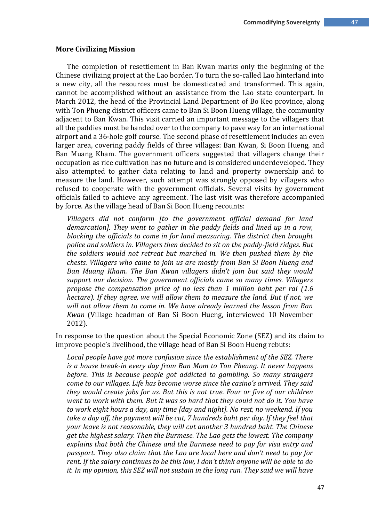#### **More Civilizing Mission**

The completion of resettlement in Ban Kwan marks only the beginning of the Chinese civilizing project at the Lao border. To turn the so-called Lao hinterland into a new city, all the resources must be domesticated and transformed. This again, cannot be accomplished without an assistance from the Lao state counterpart. In March 2012, the head of the Provincial Land Department of Bo Keo province, along with Ton Phueng district officers came to Ban Si Boon Hueng village, the community adjacent to Ban Kwan. This visit carried an important message to the villagers that all the paddies must be handed over to the company to pave way for an international airport and a 36-hole golf course. The second phase of resettlement includes an even larger area, covering paddy fields of three villages: Ban Kwan, Si Boon Hueng, and Ban Muang Kham. The government officers suggested that villagers change their occupation as rice cultivation has no future and is considered underdeveloped. They also attempted to gather data relating to land and property ownership and to measure the land. However, such attempt was strongly opposed by villagers who refused to cooperate with the government officials. Several visits by government officials failed to achieve any agreement. The last visit was therefore accompanied by force. As the village head of Ban Si Boon Hueng recounts:

*Villagers did not conform [to the government official demand for land demarcation]. They went to gather in the paddy fields and lined up in a row, blocking the officials to come in for land measuring. The district then brought police and soldiers in. Villagers then decided to sit on the paddy-field ridges. But the soldiers would not retreat but marched in. We then pushed them by the chests. Villagers who came to join us are mostly from Ban Si Boon Hueng and Ban Muang Kham. The Ban Kwan villagers didn't join but said they would support our decision. The government officials came so many times. Villagers propose the compensation price of no less than 1 million baht per rai (1.6 hectare). If they agree, we will allow them to measure the land. But if not, we will not allow them to come in. We have already learned the lesson from Ban Kwan* (Village headman of Ban Si Boon Hueng, interviewed 10 November 2012).

In response to the question about the Special Economic Zone (SEZ) and its claim to improve people's livelihood, the village head of Ban Si Boon Hueng rebuts:

*Local people have got more confusion since the establishment of the SEZ. There is a house break-in every day from Ban Mom to Ton Pheung. It never happens before. This is because people got addicted to gambling. So many strangers come to our villages. Life has become worse since the casino's arrived. They said they would create jobs for us. But this is not true. Four or five of our children went to work with them. But it was so hard that they could not do it. You have to work eight hours a day, any time [day and night]. No rest, no weekend. If you take a day off, the payment will be cut, 7 hundreds baht per day. If they feel that your leave is not reasonable, they will cut another 3 hundred baht. The Chinese get the highest salary. Then the Burmese. The Lao gets the lowest. The company explains that both the Chinese and the Burmese need to pay for visa entry and passport. They also claim that the Lao are local here and don't need to pay for rent. If the salary continues to be this low, I don't think anyone will be able to do it. In my opinion, this SEZ will not sustain in the long run. They said we will have*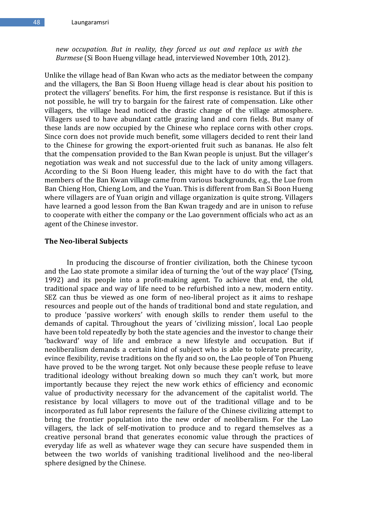## *new occupation. But in reality, they forced us out and replace us with the Burmese* (Si Boon Hueng village head, interviewed November 10th, 2012).

Unlike the village head of Ban Kwan who acts as the mediator between the company and the villagers, the Ban Si Boon Hueng village head is clear about his position to protect the villagers' benefits. For him, the first response is resistance. But if this is not possible, he will try to bargain for the fairest rate of compensation. Like other villagers, the village head noticed the drastic change of the village atmosphere. Villagers used to have abundant cattle grazing land and corn fields. But many of these lands are now occupied by the Chinese who replace corns with other crops. Since corn does not provide much benefit, some villagers decided to rent their land to the Chinese for growing the export-oriented fruit such as bananas. He also felt that the compensation provided to the Ban Kwan people is unjust. But the villager's negotiation was weak and not successful due to the lack of unity among villagers. According to the Si Boon Hueng leader, this might have to do with the fact that members of the Ban Kwan village came from various backgrounds, e.g., the Lue from Ban Chieng Hon, Chieng Lom, and the Yuan. This is different from Ban Si Boon Hueng where villagers are of Yuan origin and village organization is quite strong. Villagers have learned a good lesson from the Ban Kwan tragedy and are in unison to refuse to cooperate with either the company or the Lao government officials who act as an agent of the Chinese investor.

## **The Neo-liberal Subjects**

In producing the discourse of frontier civilization, both the Chinese tycoon and the Lao state promote a similar idea of turning the 'out of the way place' (Tsing, 1992) and its people into a profit-making agent. To achieve that end, the old, traditional space and way of life need to be refurbished into a new, modern entity. SEZ can thus be viewed as one form of neo-liberal project as it aims to reshape resources and people out of the hands of traditional bond and state regulation, and to produce 'passive workers' with enough skills to render them useful to the demands of capital. Throughout the years of 'civilizing mission', local Lao people have been told repeatedly by both the state agencies and the investor to change their 'backward' way of life and embrace a new lifestyle and occupation. But if neoliberalism demands a certain kind of subject who is able to tolerate precarity, evince flexibility, revise traditions on the fly and so on, the Lao people of Ton Phueng have proved to be the wrong target. Not only because these people refuse to leave traditional ideology without breaking down so much they can't work, but more importantly because they reject the new work ethics of efficiency and economic value of productivity necessary for the advancement of the capitalist world. The resistance by local villagers to move out of the traditional village and to be incorporated as full labor represents the failure of the Chinese civilizing attempt to bring the frontier population into the new order of neoliberalism. For the Lao villagers, the lack of self-motivation to produce and to regard themselves as a creative personal brand that generates economic value through the practices of everyday life as well as whatever wage they can secure have suspended them in between the two worlds of vanishing traditional livelihood and the neo-liberal sphere designed by the Chinese.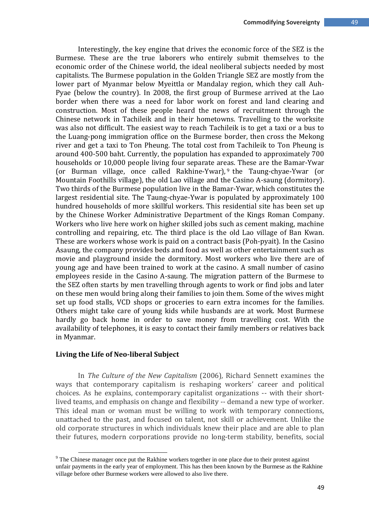Interestingly, the key engine that drives the economic force of the SEZ is the Burmese. These are the true laborers who entirely submit themselves to the economic order of the Chinese world, the ideal neoliberal subjects needed by most capitalists. The Burmese population in the Golden Triangle SEZ are mostly from the lower part of Myanmar below Myeittla or Mandalay region, which they call Auh-Pyae (below the country). In 2008, the first group of Burmese arrived at the Lao border when there was a need for labor work on forest and land clearing and construction. Most of these people heard the news of recruitment through the Chinese network in Tachileik and in their hometowns. Travelling to the worksite was also not difficult. The easiest way to reach Tachileik is to get a taxi or a bus to the Luang-pong immigration office on the Burmese border, then cross the Mekong river and get a taxi to Ton Pheung. The total cost from Tachileik to Ton Pheung is around 400-500 baht. Currently, the population has expanded to approximately 700 households or 10,000 people living four separate areas. These are the Bamar-Ywar (or Burman village, once called Rakhine-Ywar), <sup>9</sup> the Taung-chyae-Ywar (or Mountain Foothills village), the old Lao village and the Casino A-saung (dormitory). Two thirds of the Burmese population live in the Bamar-Ywar, which constitutes the largest residential site. The Taung-chyae-Ywar is populated by approximately 100 hundred households of more skillful workers. This residential site has been set up by the Chinese Worker Administrative Department of the Kings Roman Company. Workers who live here work on higher skilled jobs such as cement making, machine controlling and repairing, etc. The third place is the old Lao village of Ban Kwan. These are workers whose work is paid on a contract basis (Poh-pyait). In the Casino Asaung, the company provides beds and food as well as other entertainment such as movie and playground inside the dormitory. Most workers who live there are of young age and have been trained to work at the casino. A small number of casino employees reside in the Casino A-saung. The migration pattern of the Burmese to the SEZ often starts by men travelling through agents to work or find jobs and later on these men would bring along their families to join them. Some of the wives might set up food stalls, VCD shops or groceries to earn extra incomes for the families. Others might take care of young kids while husbands are at work. Most Burmese hardly go back home in order to save money from travelling cost. With the availability of telephones, it is easy to contact their family members or relatives back in Myanmar.

## **Living the Life of Neo-liberal Subject**

1

In *The Culture of the New Capitalism* (2006)*,* Richard Sennett examines the ways that contemporary capitalism is reshaping workers' career and political choices. As he explains, contemporary capitalist organizations -- with their shortlived teams, and emphasis on change and flexibility -- demand a new type of worker. This ideal man or woman must be willing to work with temporary connections, unattached to the past, and focused on talent, not skill or achievement. Unlike the old corporate structures in which individuals knew their place and are able to plan their futures, modern corporations provide no long-term stability, benefits, social

<sup>&</sup>lt;sup>9</sup> The Chinese manager once put the Rakhine workers together in one place due to their protest against unfair payments in the early year of employment. This has then been known by the Burmese as the Rakhine village before other Burmese workers were allowed to also live there.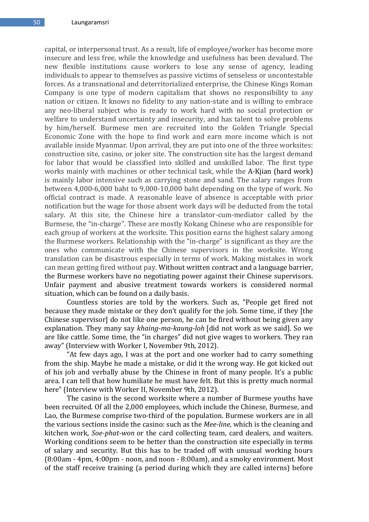capital, or interpersonal trust. As a result, life of employee/worker has become more insecure and less free, while the knowledge and usefulness has been devalued. The new flexible institutions cause workers to lose any sense of agency, leading individuals to appear to themselves as passive victims of senseless or uncontestable forces. As a transnational and deterritorialized enterprise, the Chinese Kings Roman Company is one type of modern capitalism that shows no responsibility to any nation or citizen. It knows no fidelity to any nation-state and is willing to embrace any neo-liberal subject who is ready to work hard with no social protection or welfare to understand uncertainty and insecurity, and has talent to solve problems by him/herself. Burmese men are recruited into the Golden Triangle Special Economic Zone with the hope to find work and earn more income which is not available inside Myanmar. Upon arrival, they are put into one of the three worksites: construction site, casino, or joker site. The construction site has the largest demand for labor that would be classified into skilled and unskilled labor. The first type works mainly with machines or other technical task, while the A-Kjian (hard work) is mainly labor intensive such as carrying stone and sand. The salary ranges from between 4,000-6,000 baht to 9,000-10,000 baht depending on the type of work. No official contract is made. A reasonable leave of absence is acceptable with prior notification but the wage for those absent work days will be deducted from the total salary. At this site, the Chinese hire a translator-cum-mediator called by the Burmese, the "in-charge". These are mostly Kokang Chinese who are responsible for each group of workers at the worksite. This position earns the highest salary among the Burmese workers. Relationship with the "in-charge" is significant as they are the ones who communicate with the Chinese supervisors in the worksite. Wrong translation can be disastrous especially in terms of work. Making mistakes in work can mean getting fired without pay. Without written contract and a language barrier, the Burmese workers have no negotiating power against their Chinese supervisors. Unfair payment and abusive treatment towards workers is considered normal situation, which can be found on a daily basis.

Countless stories are told by the workers. Such as, "People get fired not because they made mistake or they don't qualify for the job. Some time, if they [the Chinese supervisor] do not like one person, he can be fired without being given any explanation. They many say *khaing-ma-kaung-loh* [did not work as we said]. So we are like cattle. Some time, the "in charges" did not give wages to workers. They ran away" (Interview with Worker I, November 9th, 2012).

"At few days ago, I was at the port and one worker had to carry something from the ship. Maybe he made a mistake, or did it the wrong way. He got kicked out of his job and verbally abuse by the Chinese in front of many people. It's a public area. I can tell that how humiliate he must have felt. But this is pretty much normal here" (Interview with Worker II, November 9th, 2012).

The casino is the second worksite where a number of Burmese youths have been recruited. Of all the 2,000 employees, which include the Chinese, Burmese, and Lao, the Burmese comprise two-third of the population. Burmese workers are in all the various sections inside the casino: such as the *Mee-line*, which is the cleaning and kitchen work, *Soe-phat-won* or the card collecting team, card dealers, and waiters. Working conditions seem to be better than the construction site especially in terms of salary and security. But this has to be traded off with unusual working hours (8:00am - 4pm, 4:00pm - noon, and noon - 8:00am), and a smoky environment. Most of the staff receive training (a period during which they are called interns) before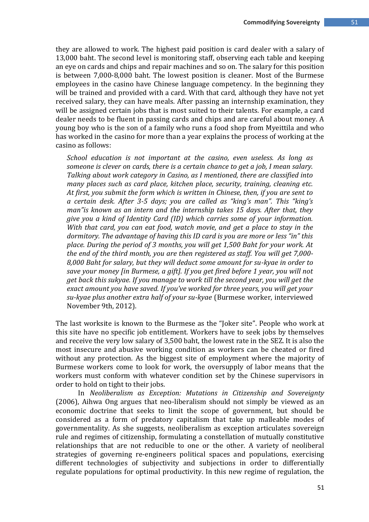they are allowed to work. The highest paid position is card dealer with a salary of 13,000 baht. The second level is monitoring staff, observing each table and keeping an eye on cards and chips and repair machines and so on. The salary for this position is between 7,000-8,000 baht. The lowest position is cleaner. Most of the Burmese employees in the casino have Chinese language competency. In the beginning they will be trained and provided with a card. With that card, although they have not yet received salary, they can have meals. After passing an internship examination, they will be assigned certain jobs that is most suited to their talents. For example, a card dealer needs to be fluent in passing cards and chips and are careful about money. A young boy who is the son of a family who runs a food shop from Myeittila and who has worked in the casino for more than a year explains the process of working at the casino as follows:

*School education is not important at the casino, even useless. As long as someone is clever on cards, there is a certain chance to get a job, I mean salary. Talking about work category in Casino, as I mentioned, there are classified into many places such as card place, kitchen place, security, training, cleaning etc. At first, you submit the form which is written in Chinese, then, if you are sent to a certain desk. After 3-5 days; you are called as "king's man". This "king's man"is known as an intern and the internship takes 15 days. After that, they give you a kind of Identity Card (ID) which carries some of your information. With that card, you can eat food, watch movie, and get a place to stay in the dormitory. The advantage of having this ID card is you are more or less "in" this place. During the period of 3 months, you will get 1,500 Baht for your work. At the end of the third month, you are then registered as staff. You will get 7,000- 8,000 Baht for salary, but they will deduct some amount for su-kyae in order to save your money [in Burmese, a gift]. If you get fired before 1 year, you will not get back this sukyae. If you manage to work till the second year, you will get the exact amount you have saved. If you've worked for three years, you will get your su-kyae plus another extra half of your su-kyae* (Burmese worker, interviewed November 9th, 2012).

The last worksite is known to the Burmese as the "Joker site". People who work at this site have no specific job entitlement. Workers have to seek jobs by themselves and receive the very low salary of 3,500 baht, the lowest rate in the SEZ. It is also the most insecure and abusive working condition as workers can be cheated or fired without any protection. As the biggest site of employment where the majority of Burmese workers come to look for work, the oversupply of labor means that the workers must conform with whatever condition set by the Chinese supervisors in order to hold on tight to their jobs.

In *Neoliberalism as Exception: Mutations in Citizenship and Sovereignty* (2006), Aihwa Ong argues that neo-liberalism should not simply be viewed as an economic doctrine that seeks to limit the scope of government, but should be considered as a form of predatory capitalism that take up malleable modes of governmentality. As she suggests, neoliberalism as exception articulates sovereign rule and regimes of citizenship, formulating a constellation of mutually constitutive relationships that are not reducible to one or the other. A variety of neoliberal strategies of governing re-engineers political spaces and populations, exercising different technologies of subjectivity and subjections in order to differentially regulate populations for optimal productivity. In this new regime of regulation, the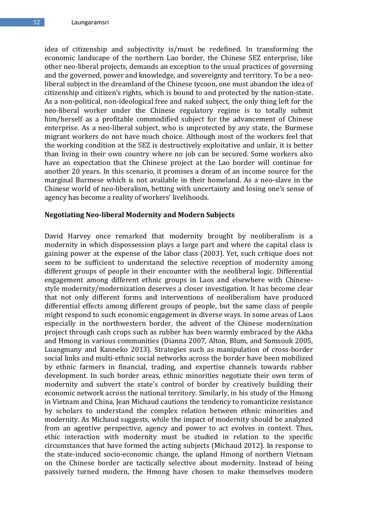idea of citizenship and subjectivity is/must be redefined. In transforming the economic landscape of the northern Lao border, the Chinese SEZ enterprise, like other neo-liberal projects, demands an exception to the usual practices of governing and the governed, power and knowledge, and sovereignty and territory. To be a neoliberal subject in the dreamland of the Chinese tycoon, one must abandon the idea of citizenship and citizen's rights, which is bound to and protected by the nation-state. As a non-political, non-ideological free and naked subject, the only thing left for the neo-liberal worker under the Chinese regulatory regime is to totally submit him/herself as a profitable commodified subject for the advancement of Chinese enterprise. As a neo-liberal subject, who is unprotected by any state, the Burmese migrant workers do not have much choice. Although most of the workers feel that the working condition at the SEZ is destructively exploitative and unfair, it is better than living in their own country where no job can be secured. Some workers also have an expectation that the Chinese project at the Lao border will continue for another 20 years. In this scenario, it promises a dream of an income source for the marginal Burmese which is not available in their homeland. As a neo-slave in the Chinese world of neo-liberalism, betting with uncertainty and losing one's sense of agency has become a reality of workers' livelihoods.

## **Negotiating Neo-liberal Modernity and Modern Subjects**

David Harvey once remarked that modernity brought by neoliberalism is a modernity in which dispossession plays a large part and where the capital class is gaining power at the expense of the labor class (2003). Yet, such critique does not seem to be sufficient to understand the selective reception of modernity among different groups of people in their encounter with the neoliberal logic. Differential engagement among different ethnic groups in Laos and elsewhere with Chinesestyle modernity/modernization deserves a closer investigation. It has become clear that not only different forms and interventions of neoliberalism have produced differential effects among different groups of people, but the same class of people might respond to such economic engagement in diverse ways. In some areas of Laos especially in the northwestern border, the advent of the Chinese modernization project through cash crops such as rubber has been warmly embraced by the Akha and Hmong in various communities (Dianna 2007, Alton, Blum, and Somsouk 2005, Luangmany and Kanneko 2013). Strategies such as manipulation of cross-border social links and multi-ethnic social networks across the border have been mobilized by ethnic farmers in financial, trading, and expertise channels towards rubber development. In such border areas, ethnic minorities negotiate their own term of modernity and subvert the state's control of border by creatively building their economic network across the national territory. Similarly, in his study of the Hmong in Vietnam and China, Jean Michaud cautions the tendency to romanticize resistance by scholars to understand the complex relation between ethnic minorities and modernity. As Michaud suggests, while the impact of modernity should be analyzed from an agentive perspective, agency and power to act evolves in context. Thus, ethic interaction with modernity must be studied in relation to the specific circumstances that have formed the acting subjects (Michaud 2012). In response to the state-induced socio-economic change, the upland Hmong of northern Vietnam on the Chinese border are tactically selective about modernity. Instead of being passively turned modern, the Hmong have chosen to make themselves modern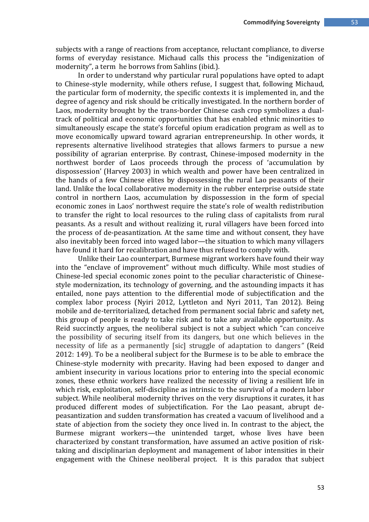subjects with a range of reactions from acceptance, reluctant compliance, to diverse forms of everyday resistance. Michaud calls this process the "indigenization of modernity", a term he borrows from Sahlins (ibid.).

In order to understand why particular rural populations have opted to adapt to Chinese-style modernity, while others refuse, I suggest that, following Michaud, the particular form of modernity, the specific contexts it is implemented in, and the degree of agency and risk should be critically investigated. In the northern border of Laos, modernity brought by the trans-border Chinese cash crop symbolizes a dualtrack of political and economic opportunities that has enabled ethnic minorities to simultaneously escape the state's forceful opium eradication program as well as to move economically upward toward agrarian entrepreneurship. In other words, it represents alternative livelihood strategies that allows farmers to pursue a new possibility of agrarian enterprise. By contrast, Chinese-imposed modernity in the northwest border of Laos proceeds through the process of 'accumulation by dispossession' (Harvey 2003) in which wealth and power have been centralized in the hands of a few Chinese elites by dispossessing the rural Lao peasants of their land. Unlike the local collaborative modernity in the rubber enterprise outside state control in northern Laos, accumulation by dispossession in the form of special economic zones in Laos' northwest require the state's role of wealth redistribution to transfer the right to local resources to the ruling class of capitalists from rural peasants. As a result and without realizing it, rural villagers have been forced into the process of de-peasantization. At the same time and without consent, they have also inevitably been forced into waged labor—the situation to which many villagers have found it hard for recalibration and have thus refused to comply with.

Unlike their Lao counterpart, Burmese migrant workers have found their way into the "enclave of improvement" without much difficulty. While most studies of Chinese-led special economic zones point to the peculiar characteristic of Chinesestyle modernization, its technology of governing, and the astounding impacts it has entailed, none pays attention to the differential mode of subjectification and the complex labor process (Nyiri 2012, Lyttleton and Nyri 2011, Tan 2012). Being mobile and de-territorialized, detached from permanent social fabric and safety net, this group of people is ready to take risk and to take any available opportunity. As Reid succinctly argues, the neoliberal subject is not a subject which "can conceive the possibility of securing itself from its dangers, but one which believes in the necessity of life as a permanently [sic] struggle of adaptation to dangers*"* (Reid 2012: 149). To be a neoliberal subject for the Burmese is to be able to embrace the Chinese-style modernity with precarity. Having had been exposed to danger and ambient insecurity in various locations prior to entering into the special economic zones, these ethnic workers have realized the necessity of living a resilient life in which risk, exploitation, self-discipline as intrinsic to the survival of a modern labor subject. While neoliberal modernity thrives on the very disruptions it curates, it has produced different modes of subjectification. For the Lao peasant, abrupt depeasantization and sudden transformation has created a vacuum of livelihood and a state of abjection from the society they once lived in. In contrast to the abject, the Burmese migrant workers—the unintended target, whose lives have been characterized by constant transformation, have assumed an active position of risktaking and disciplinarian deployment and management of labor intensities in their engagement with the Chinese neoliberal project. It is this paradox that subject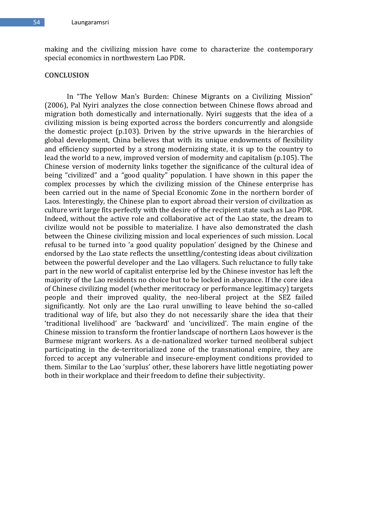making and the civilizing mission have come to characterize the contemporary special economics in northwestern Lao PDR.

#### **CONCLUSION**

In "The Yellow Man's Burden: Chinese Migrants on a Civilizing Mission" (2006), Pal Nyiri analyzes the close connection between Chinese flows abroad and migration both domestically and internationally. Nyiri suggests that the idea of a civilizing mission is being exported across the borders concurrently and alongside the domestic project (p.103). Driven by the strive upwards in the hierarchies of global development, China believes that with its unique endowments of flexibility and efficiency supported by a strong modernizing state, it is up to the country to lead the world to a new, improved version of modernity and capitalism (p.105). The Chinese version of modernity links together the significance of the cultural idea of being "civilized" and a "good quality" population. I have shown in this paper the complex processes by which the civilizing mission of the Chinese enterprise has been carried out in the name of Special Economic Zone in the northern border of Laos. Interestingly, the Chinese plan to export abroad their version of civilization as culture writ large fits perfectly with the desire of the recipient state such as Lao PDR. Indeed, without the active role and collaborative act of the Lao state, the dream to civilize would not be possible to materialize. I have also demonstrated the clash between the Chinese civilizing mission and local experiences of such mission. Local refusal to be turned into 'a good quality population' designed by the Chinese and endorsed by the Lao state reflects the unsettling/contesting ideas about civilization between the powerful developer and the Lao villagers. Such reluctance to fully take part in the new world of capitalist enterprise led by the Chinese investor has left the majority of the Lao residents no choice but to be locked in abeyance. If the core idea of Chinese civilizing model (whether meritocracy or performance legitimacy) targets people and their improved quality, the neo-liberal project at the SEZ failed significantly. Not only are the Lao rural unwilling to leave behind the so-called traditional way of life, but also they do not necessarily share the idea that their 'traditional livelihood' are 'backward' and 'uncivilized'. The main engine of the Chinese mission to transform the frontier landscape of northern Laos however is the Burmese migrant workers. As a de-nationalized worker turned neoliberal subject participating in the de-territorialized zone of the transnational empire, they are forced to accept any vulnerable and insecure-employment conditions provided to them. Similar to the Lao 'surplus' other, these laborers have little negotiating power both in their workplace and their freedom to define their subjectivity.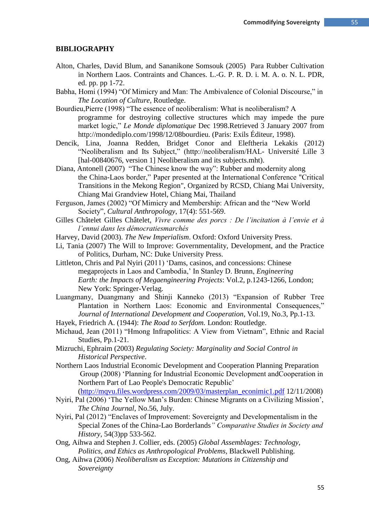#### **BIBLIOGRAPHY**

- Alton, Charles, David Blum, and Sananikone Somsouk (2005) Para Rubber Cultivation in Northern Laos. Contraints and Chances. L.-G. P. R. D. i. M. A. o. N. L. PDR, ed. pp. pp 1-72.
- Babha, Homi (1994) "Of Mimicry and Man: The Ambivalence of Colonial Discourse," in *The Location of Culture*, Routledge.
- Bourdieu,Pierre (1998) "The essence of neoliberalism: What is neoliberalism? A programme for destroying collective structures which may impede the pure market logic," *Le Monde diplomatique* Dec 1998.Retrieved 3 January 2007 from http://mondediplo.com/1998/12/08bourdieu. (Paris: Exils Éditeur, 1998).
- Dencik, Lina, Joanna Redden, Bridget Conor and Eleftheria Lekakis (2012) "Neoliberalism and Its Subject," (http://neoliberalism/HAL- Université Lille 3 [hal-00840676, version 1] Neoliberalism and its subjects.mht).
- Diana, Antonell (2007) "The Chinese know the way": Rubber and modernity along the China-Laos border," Paper presented at the International Conference "Critical Transitions in the Mekong Region", Organized by RCSD, Chiang Mai University, Chiang Mai Grandview Hotel, Chiang Mai, Thailand
- Ferguson, James (2002) "Of Mimicry and Membership: African and the "New World Society", *Cultural Anthropology*, 17(4): 551-569.
- Gilles Châtelet Gilles Châtelet, *Vivre comme des porcs : De l'incitation à l'envie et à l'ennui dans les démocratiesmarchés*
- Harvey, David (2003). *The New Imperialism*. Oxford: Oxford University Press.
- Li, Tania (2007) The Will to Improve: Governmentality, Development, and the Practice of Politics, Durham, NC: Duke University Press.
- Littleton, Chris and Pal Nyiri (2011) 'Dams, casinos, and concessions: Chinese megaprojects in Laos and Cambodia,' In Stanley D. Brunn, *Engineering Earth: the Impacts of Megaengineering Projects*: Vol.2, p.1243-1266, London; New York: Springer-Verlag.
- Luangmany, Duangmany and Shinji Kanneko (2013) "Expansion of Rubber Tree Plantation in Northern Laos: Economic and Environmental Consequences," *Journal of International Development and Cooperation*, Vol.19, No.3, Pp.1-13.
- Hayek, Friedrich A. (1944): *The Road to Serfdom.* London: Routledge.
- Michaud, Jean (2011) "Hmong Infrapolitics: A View from Vietnam", Ethnic and Racial Studies, Pp.1-21.
- Mizruchi, Ephraim (2003) *Regulating Society: Marginality and Social Control in Historical Perspective*.
- Northern Laos Industrial Economic Development and Cooperation Planning Preparation Group (2008) 'Planning for Industrial Economic Development andCooperation in Northern Part of Lao People's Democratic Republic'
- [\(http://mqvu.files.wordpress.com/2009/03/masterplan\\_econimic1.pdf](http://mqvu.files.wordpress.com/2009/03/masterplan_econimic1.pdf) 12/11/2008)
- Nyiri, Pal (2006) 'The Yellow Man's Burden: Chinese Migrants on a Civilizing Mission', *The China Journal*, No.56, July.
- Nyiri, Pal (2012) "Enclaves of Improvement: Sovereignty and Developmentalism in the Special Zones of the China-Lao Borderlands*" Comparative Studies in Society and History*, 54(3)pp 533-562.
- Ong, Aihwa and Stephen J. Collier, eds. (2005) *Global Assemblages: Technology, Politics, and Ethics as Anthropological Problems,* Blackwell Publishing.
- Ong, Aihwa (2006) *Neoliberalism as Exception: Mutations in Citizenship and Sovereignty*